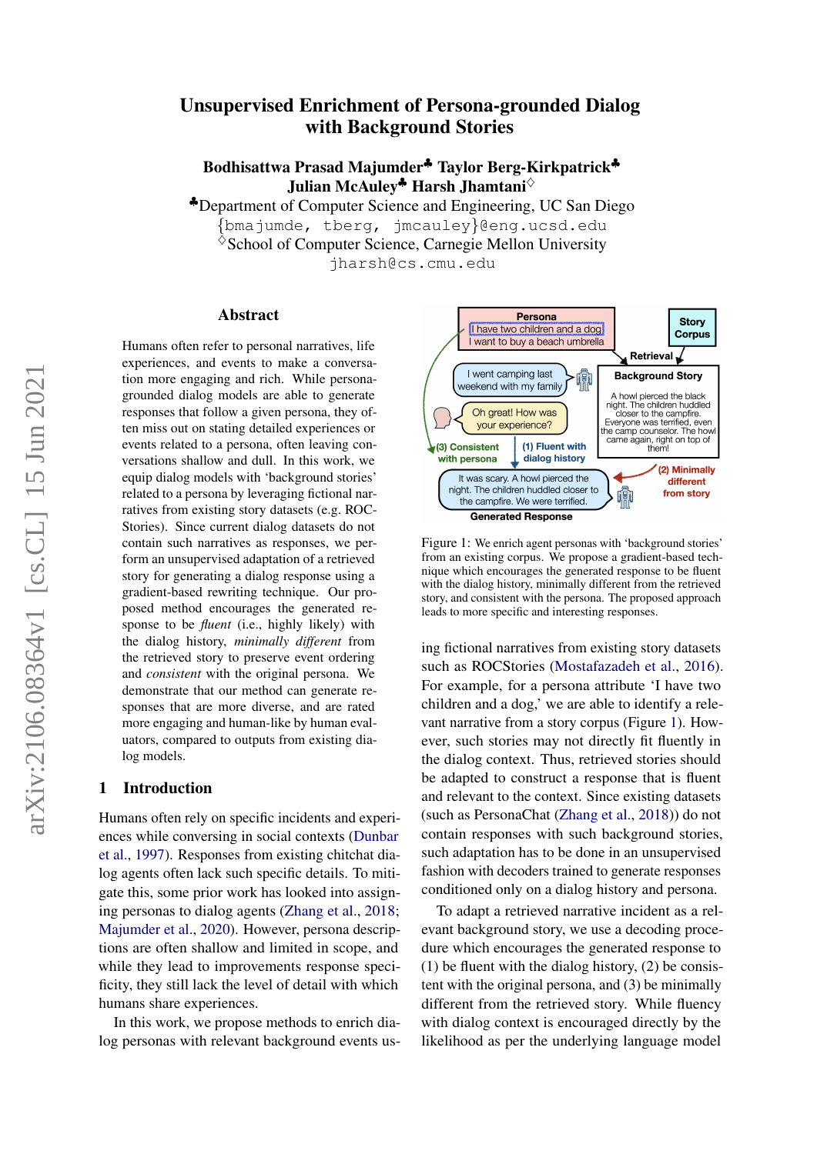# Unsupervised Enrichment of Persona-grounded Dialog with Background Stories

Bodhisattwa Prasad Majumder♣ Taylor Berg-Kirkpatrick♣ Julian McAuley<sup> $\clubsuit$ </sup> Harsh Jhamtani $\diamond$ 

♣Department of Computer Science and Engineering, UC San Diego

{bmajumde, tberg, jmcauley}@eng.ucsd.edu

 $\Diamond$ School of Computer Science, Carnegie Mellon University

jharsh@cs.cmu.edu

#### Abstract

Humans often refer to personal narratives, life experiences, and events to make a conversation more engaging and rich. While personagrounded dialog models are able to generate responses that follow a given persona, they often miss out on stating detailed experiences or events related to a persona, often leaving conversations shallow and dull. In this work, we equip dialog models with 'background stories' related to a persona by leveraging fictional narratives from existing story datasets (e.g. ROC-Stories). Since current dialog datasets do not contain such narratives as responses, we perform an unsupervised adaptation of a retrieved story for generating a dialog response using a gradient-based rewriting technique. Our proposed method encourages the generated response to be *fluent* (i.e., highly likely) with the dialog history, *minimally different* from the retrieved story to preserve event ordering and *consistent* with the original persona. We demonstrate that our method can generate responses that are more diverse, and are rated more engaging and human-like by human evaluators, compared to outputs from existing dialog models.

#### 1 Introduction

Humans often rely on specific incidents and experiences while conversing in social contexts [\(Dunbar](#page-5-0) [et al.,](#page-5-0) [1997\)](#page-5-0). Responses from existing chitchat dialog agents often lack such specific details. To mitigate this, some prior work has looked into assigning personas to dialog agents [\(Zhang et al.,](#page-5-1) [2018;](#page-5-1) [Majumder et al.,](#page-5-2) [2020\)](#page-5-2). However, persona descriptions are often shallow and limited in scope, and while they lead to improvements response specificity, they still lack the level of detail with which humans share experiences.

In this work, we propose methods to enrich dialog personas with relevant background events us-

<span id="page-0-0"></span>

Figure 1: We enrich agent personas with 'background stories' from an existing corpus. We propose a gradient-based technique which encourages the generated response to be fluent with the dialog history, minimally different from the retrieved story, and consistent with the persona. The proposed approach leads to more specific and interesting responses.

ing fictional narratives from existing story datasets such as ROCStories [\(Mostafazadeh et al.,](#page-5-3) [2016\)](#page-5-3). For example, for a persona attribute 'I have two children and a dog,' we are able to identify a relevant narrative from a story corpus (Figure [1\)](#page-0-0). However, such stories may not directly fit fluently in the dialog context. Thus, retrieved stories should be adapted to construct a response that is fluent and relevant to the context. Since existing datasets (such as PersonaChat [\(Zhang et al.,](#page-5-1) [2018\)](#page-5-1)) do not contain responses with such background stories, such adaptation has to be done in an unsupervised fashion with decoders trained to generate responses conditioned only on a dialog history and persona.

To adapt a retrieved narrative incident as a relevant background story, we use a decoding procedure which encourages the generated response to (1) be fluent with the dialog history, (2) be consistent with the original persona, and (3) be minimally different from the retrieved story. While fluency with dialog context is encouraged directly by the likelihood as per the underlying language model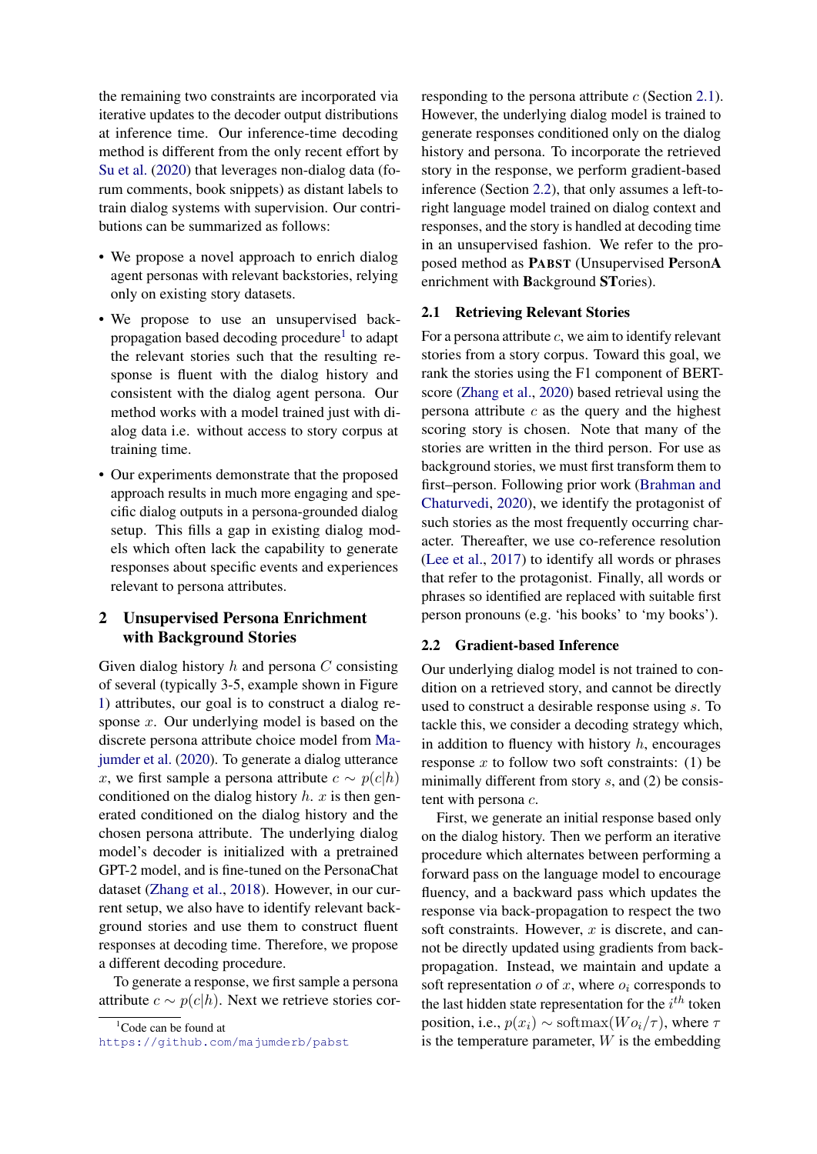the remaining two constraints are incorporated via iterative updates to the decoder output distributions at inference time. Our inference-time decoding method is different from the only recent effort by [Su et al.](#page-5-4) [\(2020\)](#page-5-4) that leverages non-dialog data (forum comments, book snippets) as distant labels to train dialog systems with supervision. Our contributions can be summarized as follows:

- We propose a novel approach to enrich dialog agent personas with relevant backstories, relying only on existing story datasets.
- We propose to use an unsupervised back-propagation based decoding procedure<sup>[1](#page-1-0)</sup> to adapt the relevant stories such that the resulting response is fluent with the dialog history and consistent with the dialog agent persona. Our method works with a model trained just with dialog data i.e. without access to story corpus at training time.
- Our experiments demonstrate that the proposed approach results in much more engaging and specific dialog outputs in a persona-grounded dialog setup. This fills a gap in existing dialog models which often lack the capability to generate responses about specific events and experiences relevant to persona attributes.

## 2 Unsupervised Persona Enrichment with Background Stories

Given dialog history  $h$  and persona  $C$  consisting of several (typically 3-5, example shown in Figure [1\)](#page-0-0) attributes, our goal is to construct a dialog response x. Our underlying model is based on the discrete persona attribute choice model from [Ma](#page-5-2)[jumder et al.](#page-5-2) [\(2020\)](#page-5-2). To generate a dialog utterance x, we first sample a persona attribute  $c \sim p(c|h)$ conditioned on the dialog history  $h$ .  $x$  is then generated conditioned on the dialog history and the chosen persona attribute. The underlying dialog model's decoder is initialized with a pretrained GPT-2 model, and is fine-tuned on the PersonaChat dataset [\(Zhang et al.,](#page-5-1) [2018\)](#page-5-1). However, in our current setup, we also have to identify relevant background stories and use them to construct fluent responses at decoding time. Therefore, we propose a different decoding procedure.

To generate a response, we first sample a persona attribute  $c \sim p(c|h)$ . Next we retrieve stories cor-

```
{}^{1}Code can be found at
```
responding to the persona attribute  $c$  (Section [2.1\)](#page-1-1). However, the underlying dialog model is trained to generate responses conditioned only on the dialog history and persona. To incorporate the retrieved story in the response, we perform gradient-based inference (Section [2.2\)](#page-1-2), that only assumes a left-toright language model trained on dialog context and responses, and the story is handled at decoding time in an unsupervised fashion. We refer to the proposed method as PABST (Unsupervised PersonA enrichment with Background STories).

#### <span id="page-1-1"></span>2.1 Retrieving Relevant Stories

For a persona attribute  $c$ , we aim to identify relevant stories from a story corpus. Toward this goal, we rank the stories using the F1 component of BERTscore [\(Zhang et al.,](#page-5-5) [2020\)](#page-5-5) based retrieval using the persona attribute  $c$  as the query and the highest scoring story is chosen. Note that many of the stories are written in the third person. For use as background stories, we must first transform them to first–person. Following prior work [\(Brahman and](#page-5-6) [Chaturvedi,](#page-5-6) [2020\)](#page-5-6), we identify the protagonist of such stories as the most frequently occurring character. Thereafter, we use co-reference resolution [\(Lee et al.,](#page-5-7) [2017\)](#page-5-7) to identify all words or phrases that refer to the protagonist. Finally, all words or phrases so identified are replaced with suitable first person pronouns (e.g. 'his books' to 'my books').

#### <span id="page-1-2"></span>2.2 Gradient-based Inference

Our underlying dialog model is not trained to condition on a retrieved story, and cannot be directly used to construct a desirable response using s. To tackle this, we consider a decoding strategy which, in addition to fluency with history  $h$ , encourages response  $x$  to follow two soft constraints: (1) be minimally different from story  $s$ , and  $(2)$  be consistent with persona c.

First, we generate an initial response based only on the dialog history. Then we perform an iterative procedure which alternates between performing a forward pass on the language model to encourage fluency, and a backward pass which updates the response via back-propagation to respect the two soft constraints. However,  $x$  is discrete, and cannot be directly updated using gradients from backpropagation. Instead, we maintain and update a soft representation  $o$  of  $x$ , where  $o_i$  corresponds to the last hidden state representation for the  $i^{th}$  token position, i.e.,  $p(x_i) \sim \text{softmax}(W o_i / \tau)$ , where  $\tau$ is the temperature parameter,  $W$  is the embedding

<https://github.com/majumderb/pabst>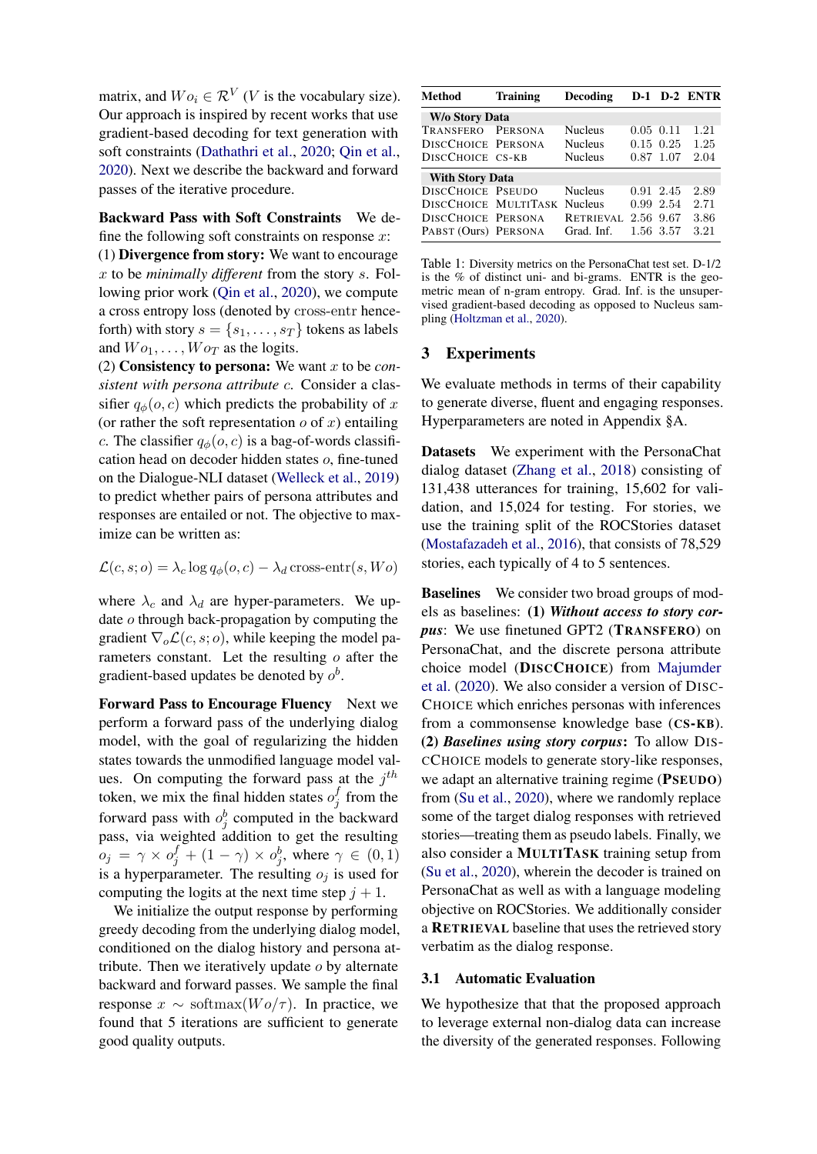matrix, and  $Wo_i \in \mathcal{R}^V$  (*V* is the vocabulary size). Our approach is inspired by recent works that use gradient-based decoding for text generation with soft constraints [\(Dathathri et al.,](#page-5-8) [2020;](#page-5-8) [Qin et al.,](#page-5-9) [2020\)](#page-5-9). Next we describe the backward and forward passes of the iterative procedure.

Backward Pass with Soft Constraints We define the following soft constraints on response  $x$ :

(1) Divergence from story: We want to encourage x to be *minimally different* from the story s. Following prior work [\(Qin et al.,](#page-5-9) [2020\)](#page-5-9), we compute a cross entropy loss (denoted by cross-entr henceforth) with story  $s = \{s_1, \ldots, s_T\}$  tokens as labels and  $Wo_1, \ldots, Wo_T$  as the logits.

(2) Consistency to persona: We want x to be *consistent with persona attribute* c. Consider a classifier  $q_{\phi}(o, c)$  which predicts the probability of x (or rather the soft representation  $o$  of  $x$ ) entailing c. The classifier  $q_{\phi}(o, c)$  is a bag-of-words classification head on decoder hidden states o, fine-tuned on the Dialogue-NLI dataset [\(Welleck et al.,](#page-5-10) [2019\)](#page-5-10) to predict whether pairs of persona attributes and responses are entailed or not. The objective to maximize can be written as:

$$
\mathcal{L}(c, s; o) = \lambda_c \log q_{\phi}(o, c) - \lambda_d \text{ cross-entr}(s, Wo)
$$

where  $\lambda_c$  and  $\lambda_d$  are hyper-parameters. We update o through back-propagation by computing the gradient  $\nabla_o \mathcal{L}(c, s; o)$ , while keeping the model parameters constant. Let the resulting o after the gradient-based updates be denoted by  $o^b$ .

Forward Pass to Encourage Fluency Next we perform a forward pass of the underlying dialog model, with the goal of regularizing the hidden states towards the unmodified language model values. On computing the forward pass at the  $j<sup>th</sup>$ token, we mix the final hidden states  $o_j^f$  $j$  from the forward pass with  $o_j^b$  computed in the backward pass, via weighted addition to get the resulting  $o_j = \gamma \times o_j^f + (1 - \gamma) \times o_j^b$ , where  $\gamma \in (0, 1)$ is a hyperparameter. The resulting  $o_i$  is used for computing the logits at the next time step  $j + 1$ .

We initialize the output response by performing greedy decoding from the underlying dialog model, conditioned on the dialog history and persona attribute. Then we iteratively update  $o$  by alternate backward and forward passes. We sample the final response  $x \sim \text{softmax}(W \circ \tau)$ . In practice, we found that 5 iterations are sufficient to generate good quality outputs.

<span id="page-2-0"></span>

| <b>Method</b>                | <b>Training</b> | Decoding         |           |                 | D-1 D-2 ENTR |
|------------------------------|-----------------|------------------|-----------|-----------------|--------------|
| W/o Story Data               |                 |                  |           |                 |              |
| TRANSFERO                    | <b>PERSONA</b>  | <b>Nucleus</b>   | 0.05      | 0.11            | 1.21         |
| DISCCHOICE PERSONA           |                 | <b>Nucleus</b>   |           | $0.15 \ \ 0.25$ | 1.25         |
| DISCCHOICE CS-KB             |                 | <b>Nucleus</b>   |           | 0.87 1.07       | 2.04         |
| <b>With Story Data</b>       |                 |                  |           |                 |              |
| <b>DISCCHOICE PSEUDO</b>     |                 | <b>Nucleus</b>   |           | 0.91 2.45       | 2.89         |
| DISCCHOICE MULTITASK Nucleus |                 |                  |           | 0.99 2.54       | 2.71         |
| DISCCHOICE PERSONA           |                 | <b>RETRIEVAL</b> | 2.56 9.67 |                 | 3.86         |
| PABST (Ours) PERSONA         |                 | Grad. Inf.       |           | 1.56 3.57       | 3.21         |

Table 1: Diversity metrics on the PersonaChat test set. D-1/2 is the % of distinct uni- and bi-grams. ENTR is the geometric mean of n-gram entropy. Grad. Inf. is the unsupervised gradient-based decoding as opposed to Nucleus sampling [\(Holtzman et al.,](#page-5-11) [2020\)](#page-5-11).

### 3 Experiments

We evaluate methods in terms of their capability to generate diverse, fluent and engaging responses. Hyperparameters are noted in Appendix §A.

Datasets We experiment with the PersonaChat dialog dataset [\(Zhang et al.,](#page-5-1) [2018\)](#page-5-1) consisting of 131,438 utterances for training, 15,602 for validation, and 15,024 for testing. For stories, we use the training split of the ROCStories dataset [\(Mostafazadeh et al.,](#page-5-3) [2016\)](#page-5-3), that consists of 78,529 stories, each typically of 4 to 5 sentences.

Baselines We consider two broad groups of models as baselines: (1) *Without access to story corpus*: We use finetuned GPT2 (TRANSFERO) on PersonaChat, and the discrete persona attribute choice model (DISCCHOICE) from [Majumder](#page-5-2) [et al.](#page-5-2) [\(2020\)](#page-5-2). We also consider a version of DISC-CHOICE which enriches personas with inferences from a commonsense knowledge base (CS-KB). (2) *Baselines using story corpus*: To allow DIS-CCHOICE models to generate story-like responses, we adapt an alternative training regime (PSEUDO) from [\(Su et al.,](#page-5-4) [2020\)](#page-5-4), where we randomly replace some of the target dialog responses with retrieved stories—treating them as pseudo labels. Finally, we also consider a MULTITASK training setup from [\(Su et al.,](#page-5-4) [2020\)](#page-5-4), wherein the decoder is trained on PersonaChat as well as with a language modeling objective on ROCStories. We additionally consider a RETRIEVAL baseline that uses the retrieved story verbatim as the dialog response.

#### 3.1 Automatic Evaluation

We hypothesize that that the proposed approach to leverage external non-dialog data can increase the diversity of the generated responses. Following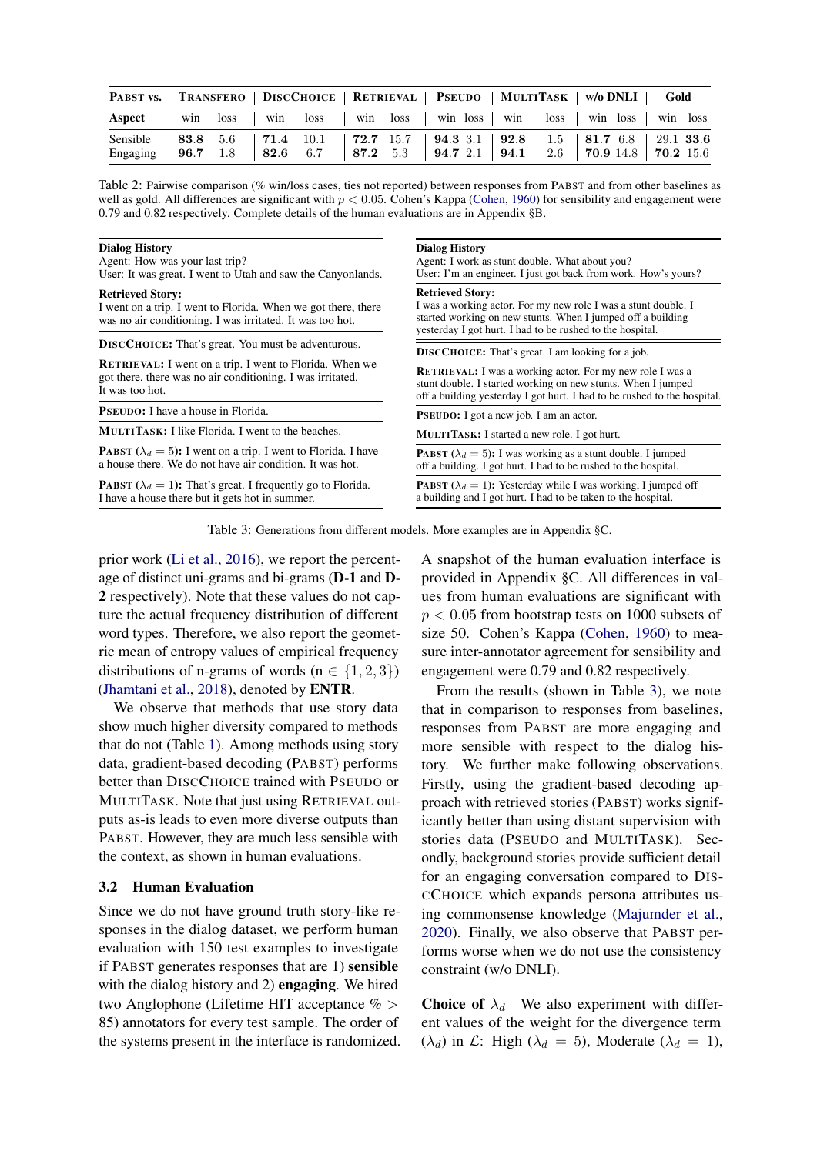| PABST vs. TRANSFERO   DISCCHOICE   RETRIEVAL   PSEUDO   MULTITASK   W/0 DNLI   Gold                                                                                             |  |  |  |  |  |  |  |
|---------------------------------------------------------------------------------------------------------------------------------------------------------------------------------|--|--|--|--|--|--|--|
| Aspect win loss   win loss   win loss   win loss   win loss   win loss   win loss                                                                                               |  |  |  |  |  |  |  |
| Sensible 83.8 5.6   71.4 10.1   72.7 15.7   94.3 3.1   92.8 1.5   81.7 6.8   29.1 33.6<br>Engaging 96.7 1.8   82.6 6.7   87.2 5.3   94.7 2.1   94.1 2.6   70.9 14.8   70.2 15.6 |  |  |  |  |  |  |  |

Table 2: Pairwise comparison (% win/loss cases, ties not reported) between responses from PABST and from other baselines as well as gold. All differences are significant with  $p < 0.05$ . Cohen's Kappa [\(Cohen,](#page-5-12) [1960\)](#page-5-12) for sensibility and engagement were 0.79 and 0.82 respectively. Complete details of the human evaluations are in Appendix §B.

<span id="page-3-0"></span>

| <b>Dialog History</b><br>Agent: How was your last trip?<br>User: It was great. I went to Utah and saw the Canyonlands.                                | <b>Dialog History</b><br>Agent: I work as stunt double. What about you?<br>User: I'm an engineer. I just got back from work. How's yours?                                                                             |  |  |  |  |  |
|-------------------------------------------------------------------------------------------------------------------------------------------------------|-----------------------------------------------------------------------------------------------------------------------------------------------------------------------------------------------------------------------|--|--|--|--|--|
| <b>Retrieved Story:</b><br>I went on a trip. I went to Florida. When we got there, there<br>was no air conditioning. I was irritated. It was too hot. | <b>Retrieved Story:</b><br>I was a working actor. For my new role I was a stunt double. I<br>started working on new stunts. When I jumped off a building<br>yesterday I got hurt. I had to be rushed to the hospital. |  |  |  |  |  |
| <b>DISCCHOICE:</b> That's great. You must be adventurous.                                                                                             | <b>DISCCHOICE:</b> That's great. I am looking for a job.                                                                                                                                                              |  |  |  |  |  |
| <b>RETRIEVAL:</b> I went on a trip. I went to Florida. When we<br>got there, there was no air conditioning. I was irritated.<br>It was too hot.       | <b>RETRIEVAL:</b> I was a working actor. For my new role I was a<br>stunt double. I started working on new stunts. When I jumped<br>off a building yesterday I got hurt. I had to be rushed to the hospital.          |  |  |  |  |  |
| PSEUDO: I have a house in Florida.                                                                                                                    | <b>PSEUDO:</b> I got a new job. I am an actor.                                                                                                                                                                        |  |  |  |  |  |
| <b>MULTITASK:</b> I like Florida. I went to the beaches.                                                                                              | <b>MULTITASK:</b> I started a new role. I got hurt.                                                                                                                                                                   |  |  |  |  |  |
| <b>PABST</b> ( $\lambda_d = 5$ ): I went on a trip. I went to Florida. I have<br>a house there. We do not have air condition. It was hot.             | <b>PABST</b> ( $\lambda_d = 5$ ): I was working as a stunt double. I jumped<br>off a building. I got hurt. I had to be rushed to the hospital.                                                                        |  |  |  |  |  |
| <b>PABST</b> ( $\lambda_d = 1$ ): That's great. I frequently go to Florida.<br>I have a house there but it gets hot in summer.                        | <b>PABST</b> ( $\lambda_d = 1$ ): Yesterday while I was working, I jumped off<br>a building and I got hurt. I had to be taken to the hospital.                                                                        |  |  |  |  |  |

Table 3: Generations from different models. More examples are in Appendix §C.

prior work [\(Li et al.,](#page-5-13) [2016\)](#page-5-13), we report the percentage of distinct uni-grams and bi-grams (D-1 and D-2 respectively). Note that these values do not capture the actual frequency distribution of different word types. Therefore, we also report the geometric mean of entropy values of empirical frequency distributions of n-grams of words ( $n \in \{1, 2, 3\}$ ) [\(Jhamtani et al.,](#page-5-14) [2018\)](#page-5-14), denoted by ENTR.

We observe that methods that use story data show much higher diversity compared to methods that do not (Table [1\)](#page-2-0). Among methods using story data, gradient-based decoding (PABST) performs better than DISCCHOICE trained with PSEUDO or MULTITASK. Note that just using RETRIEVAL outputs as-is leads to even more diverse outputs than PABST. However, they are much less sensible with the context, as shown in human evaluations.

## 3.2 Human Evaluation

Since we do not have ground truth story-like responses in the dialog dataset, we perform human evaluation with 150 test examples to investigate if PABST generates responses that are 1) sensible with the dialog history and 2) **engaging**. We hired two Anglophone (Lifetime HIT acceptance % > 85) annotators for every test sample. The order of the systems present in the interface is randomized. A snapshot of the human evaluation interface is provided in Appendix §C. All differences in values from human evaluations are significant with  $p < 0.05$  from bootstrap tests on 1000 subsets of size 50. Cohen's Kappa [\(Cohen,](#page-5-12) [1960\)](#page-5-12) to measure inter-annotator agreement for sensibility and engagement were 0.79 and 0.82 respectively.

From the results (shown in Table [3\)](#page-3-0), we note that in comparison to responses from baselines, responses from PABST are more engaging and more sensible with respect to the dialog history. We further make following observations. Firstly, using the gradient-based decoding approach with retrieved stories (PABST) works significantly better than using distant supervision with stories data (PSEUDO and MULTITASK). Secondly, background stories provide sufficient detail for an engaging conversation compared to DIS-CCHOICE which expands persona attributes using commonsense knowledge [\(Majumder et al.,](#page-5-2) [2020\)](#page-5-2). Finally, we also observe that PABST performs worse when we do not use the consistency constraint (w/o DNLI).

**Choice of**  $\lambda_d$  We also experiment with different values of the weight for the divergence term  $(\lambda_d)$  in  $\mathcal{L}$ : High  $(\lambda_d = 5)$ , Moderate  $(\lambda_d = 1)$ ,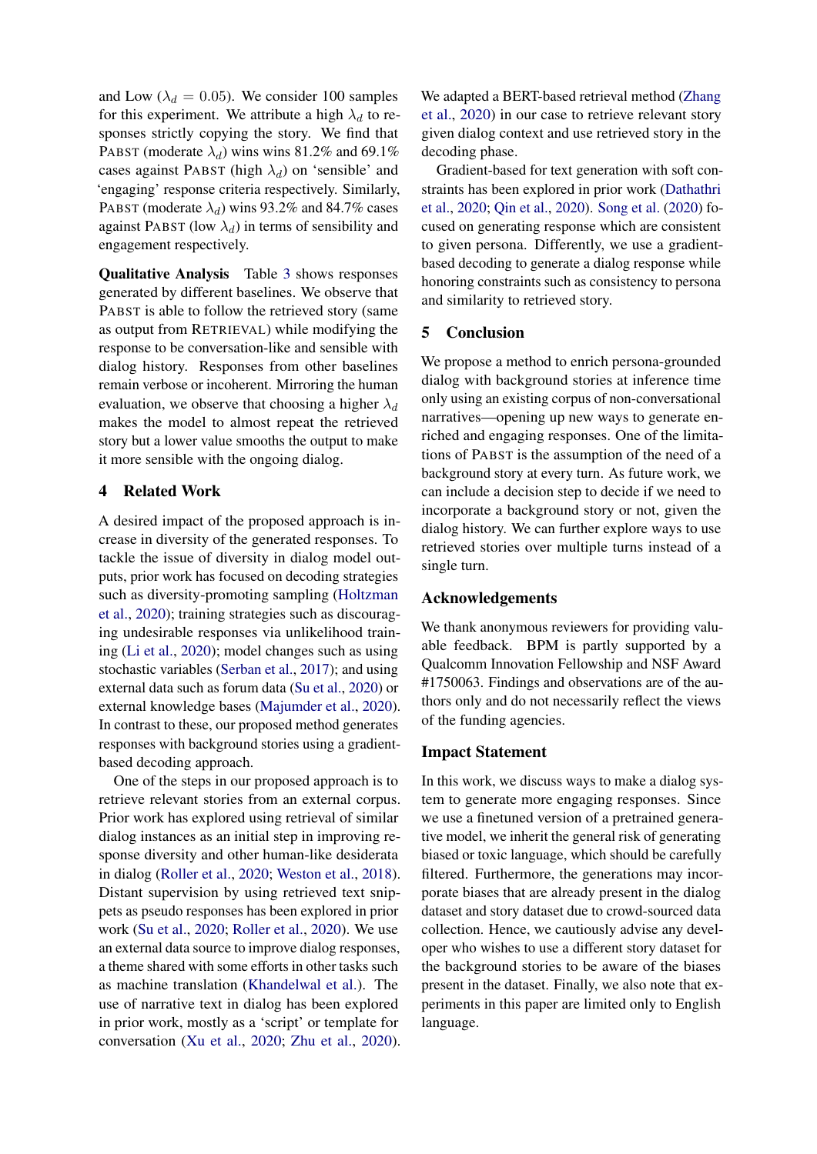and Low ( $\lambda_d = 0.05$ ). We consider 100 samples for this experiment. We attribute a high  $\lambda_d$  to responses strictly copying the story. We find that PABST (moderate  $\lambda_d$ ) wins wins 81.2% and 69.1% cases against PABST (high  $\lambda_d$ ) on 'sensible' and 'engaging' response criteria respectively. Similarly, PABST (moderate  $\lambda_d$ ) wins 93.2% and 84.7% cases against PABST (low  $\lambda_d$ ) in terms of sensibility and engagement respectively.

Qualitative Analysis Table [3](#page-3-0) shows responses generated by different baselines. We observe that PABST is able to follow the retrieved story (same as output from RETRIEVAL) while modifying the response to be conversation-like and sensible with dialog history. Responses from other baselines remain verbose or incoherent. Mirroring the human evaluation, we observe that choosing a higher  $\lambda_d$ makes the model to almost repeat the retrieved story but a lower value smooths the output to make it more sensible with the ongoing dialog.

## 4 Related Work

A desired impact of the proposed approach is increase in diversity of the generated responses. To tackle the issue of diversity in dialog model outputs, prior work has focused on decoding strategies such as diversity-promoting sampling [\(Holtzman](#page-5-11) [et al.,](#page-5-11) [2020\)](#page-5-11); training strategies such as discouraging undesirable responses via unlikelihood training [\(Li et al.,](#page-5-15) [2020\)](#page-5-15); model changes such as using stochastic variables [\(Serban et al.,](#page-5-16) [2017\)](#page-5-16); and using external data such as forum data [\(Su et al.,](#page-5-4) [2020\)](#page-5-4) or external knowledge bases [\(Majumder et al.,](#page-5-2) [2020\)](#page-5-2). In contrast to these, our proposed method generates responses with background stories using a gradientbased decoding approach.

One of the steps in our proposed approach is to retrieve relevant stories from an external corpus. Prior work has explored using retrieval of similar dialog instances as an initial step in improving response diversity and other human-like desiderata in dialog [\(Roller et al.,](#page-5-17) [2020;](#page-5-17) [Weston et al.,](#page-5-18) [2018\)](#page-5-18). Distant supervision by using retrieved text snippets as pseudo responses has been explored in prior work [\(Su et al.,](#page-5-4) [2020;](#page-5-4) [Roller et al.,](#page-5-17) [2020\)](#page-5-17). We use an external data source to improve dialog responses, a theme shared with some efforts in other tasks such as machine translation [\(Khandelwal et al.\)](#page-5-19). The use of narrative text in dialog has been explored in prior work, mostly as a 'script' or template for conversation [\(Xu et al.,](#page-5-20) [2020;](#page-5-20) [Zhu et al.,](#page-5-21) [2020\)](#page-5-21). We adapted a BERT-based retrieval method [\(Zhang](#page-5-5) [et al.,](#page-5-5) [2020\)](#page-5-5) in our case to retrieve relevant story given dialog context and use retrieved story in the decoding phase.

Gradient-based for text generation with soft constraints has been explored in prior work [\(Dathathri](#page-5-8) [et al.,](#page-5-8) [2020;](#page-5-8) [Qin et al.,](#page-5-9) [2020\)](#page-5-9). [Song et al.](#page-5-22) [\(2020\)](#page-5-22) focused on generating response which are consistent to given persona. Differently, we use a gradientbased decoding to generate a dialog response while honoring constraints such as consistency to persona and similarity to retrieved story.

#### 5 Conclusion

We propose a method to enrich persona-grounded dialog with background stories at inference time only using an existing corpus of non-conversational narratives—opening up new ways to generate enriched and engaging responses. One of the limitations of PABST is the assumption of the need of a background story at every turn. As future work, we can include a decision step to decide if we need to incorporate a background story or not, given the dialog history. We can further explore ways to use retrieved stories over multiple turns instead of a single turn.

#### Acknowledgements

We thank anonymous reviewers for providing valuable feedback. BPM is partly supported by a Qualcomm Innovation Fellowship and NSF Award #1750063. Findings and observations are of the authors only and do not necessarily reflect the views of the funding agencies.

#### Impact Statement

In this work, we discuss ways to make a dialog system to generate more engaging responses. Since we use a finetuned version of a pretrained generative model, we inherit the general risk of generating biased or toxic language, which should be carefully filtered. Furthermore, the generations may incorporate biases that are already present in the dialog dataset and story dataset due to crowd-sourced data collection. Hence, we cautiously advise any developer who wishes to use a different story dataset for the background stories to be aware of the biases present in the dataset. Finally, we also note that experiments in this paper are limited only to English language.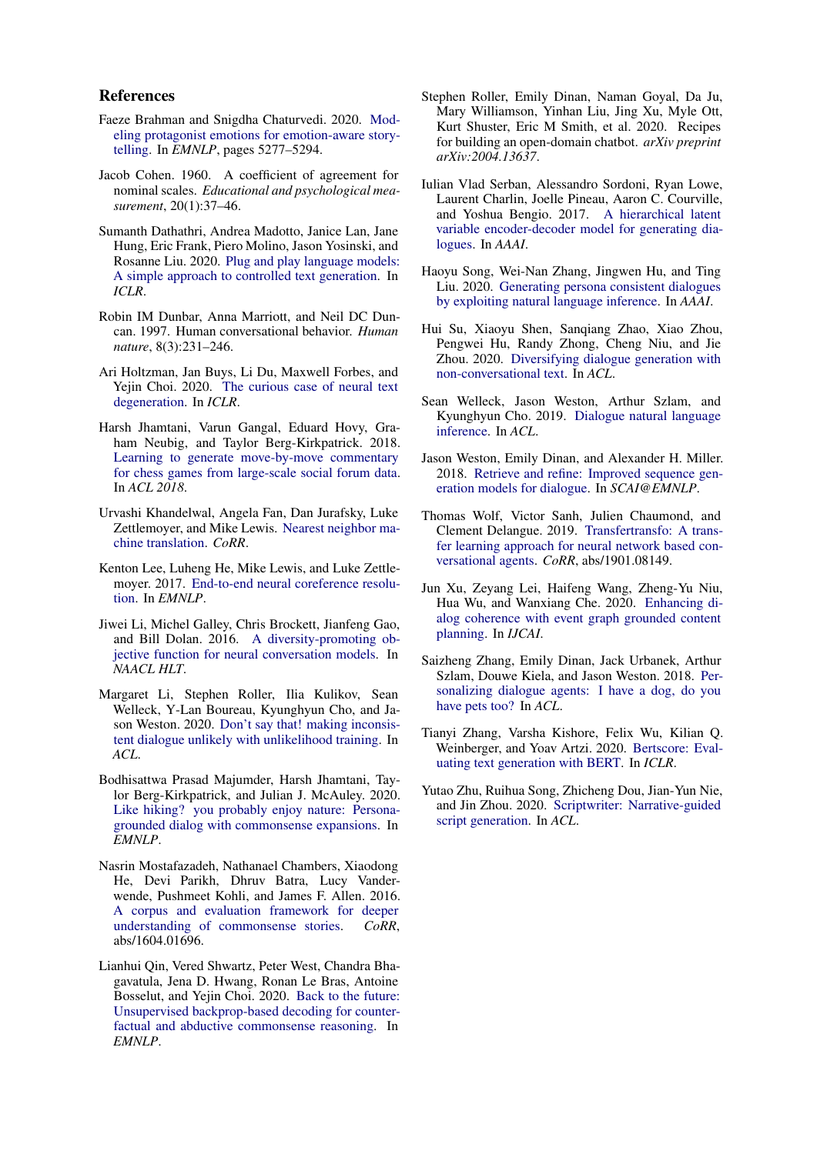#### References

- <span id="page-5-6"></span>Faeze Brahman and Snigdha Chaturvedi. 2020. [Mod](https://doi.org/10.18653/v1/2020.emnlp-main.426)[eling protagonist emotions for emotion-aware story](https://doi.org/10.18653/v1/2020.emnlp-main.426)[telling.](https://doi.org/10.18653/v1/2020.emnlp-main.426) In *EMNLP*, pages 5277–5294.
- <span id="page-5-12"></span>Jacob Cohen. 1960. A coefficient of agreement for nominal scales. *Educational and psychological measurement*, 20(1):37–46.
- <span id="page-5-8"></span>Sumanth Dathathri, Andrea Madotto, Janice Lan, Jane Hung, Eric Frank, Piero Molino, Jason Yosinski, and Rosanne Liu. 2020. [Plug and play language models:](https://openreview.net/forum?id=H1edEyBKDS) [A simple approach to controlled text generation.](https://openreview.net/forum?id=H1edEyBKDS) In *ICLR*.
- <span id="page-5-0"></span>Robin IM Dunbar, Anna Marriott, and Neil DC Duncan. 1997. Human conversational behavior. *Human nature*, 8(3):231–246.
- <span id="page-5-11"></span>Ari Holtzman, Jan Buys, Li Du, Maxwell Forbes, and Yejin Choi. 2020. [The curious case of neural text](https://openreview.net/forum?id=rygGQyrFvH) [degeneration.](https://openreview.net/forum?id=rygGQyrFvH) In *ICLR*.
- <span id="page-5-14"></span>Harsh Jhamtani, Varun Gangal, Eduard Hovy, Graham Neubig, and Taylor Berg-Kirkpatrick. 2018. [Learning to generate move-by-move commentary](https://www.aclweb.org/anthology/P18-1154/) [for chess games from large-scale social forum data.](https://www.aclweb.org/anthology/P18-1154/) In *ACL 2018*.
- <span id="page-5-19"></span>Urvashi Khandelwal, Angela Fan, Dan Jurafsky, Luke Zettlemoyer, and Mike Lewis. [Nearest neighbor ma](http://arxiv.org/abs/2010.00710)[chine translation.](http://arxiv.org/abs/2010.00710) *CoRR*.
- <span id="page-5-7"></span>Kenton Lee, Luheng He, Mike Lewis, and Luke Zettlemoyer. 2017. [End-to-end neural coreference resolu](https://doi.org/10.18653/v1/d17-1018)[tion.](https://doi.org/10.18653/v1/d17-1018) In *EMNLP*.
- <span id="page-5-13"></span>Jiwei Li, Michel Galley, Chris Brockett, Jianfeng Gao, and Bill Dolan. 2016. [A diversity-promoting ob](https://doi.org/10.18653/v1/n16-1014)[jective function for neural conversation models.](https://doi.org/10.18653/v1/n16-1014) In *NAACL HLT*.
- <span id="page-5-15"></span>Margaret Li, Stephen Roller, Ilia Kulikov, Sean Welleck, Y-Lan Boureau, Kyunghyun Cho, and Jason Weston. 2020. [Don't say that! making inconsis](https://doi.org/10.18653/v1/2020.acl-main.428)[tent dialogue unlikely with unlikelihood training.](https://doi.org/10.18653/v1/2020.acl-main.428) In *ACL*.
- <span id="page-5-2"></span>Bodhisattwa Prasad Majumder, Harsh Jhamtani, Taylor Berg-Kirkpatrick, and Julian J. McAuley. 2020. [Like hiking? you probably enjoy nature: Persona](https://doi.org/10.18653/v1/2020.emnlp-main.739)[grounded dialog with commonsense expansions.](https://doi.org/10.18653/v1/2020.emnlp-main.739) In *EMNLP*.
- <span id="page-5-3"></span>Nasrin Mostafazadeh, Nathanael Chambers, Xiaodong He, Devi Parikh, Dhruv Batra, Lucy Vanderwende, Pushmeet Kohli, and James F. Allen. 2016. [A corpus and evaluation framework for deeper](http://arxiv.org/abs/1604.01696) [understanding of commonsense stories.](http://arxiv.org/abs/1604.01696) *CoRR*, abs/1604.01696.
- <span id="page-5-9"></span>Lianhui Qin, Vered Shwartz, Peter West, Chandra Bhagavatula, Jena D. Hwang, Ronan Le Bras, Antoine Bosselut, and Yejin Choi. 2020. [Back to the future:](https://doi.org/10.18653/v1/2020.emnlp-main.58) [Unsupervised backprop-based decoding for counter](https://doi.org/10.18653/v1/2020.emnlp-main.58)[factual and abductive commonsense reasoning.](https://doi.org/10.18653/v1/2020.emnlp-main.58) In *EMNLP*.
- <span id="page-5-17"></span>Stephen Roller, Emily Dinan, Naman Goyal, Da Ju, Mary Williamson, Yinhan Liu, Jing Xu, Myle Ott, Kurt Shuster, Eric M Smith, et al. 2020. Recipes for building an open-domain chatbot. *arXiv preprint arXiv:2004.13637*.
- <span id="page-5-16"></span>Iulian Vlad Serban, Alessandro Sordoni, Ryan Lowe, Laurent Charlin, Joelle Pineau, Aaron C. Courville, and Yoshua Bengio. 2017. [A hierarchical latent](http://aaai.org/ocs/index.php/AAAI/AAAI17/paper/view/14567) [variable encoder-decoder model for generating dia](http://aaai.org/ocs/index.php/AAAI/AAAI17/paper/view/14567)[logues.](http://aaai.org/ocs/index.php/AAAI/AAAI17/paper/view/14567) In *AAAI*.
- <span id="page-5-22"></span>Haoyu Song, Wei-Nan Zhang, Jingwen Hu, and Ting Liu. 2020. [Generating persona consistent dialogues](https://aaai.org/ojs/index.php/AAAI/article/view/6417) [by exploiting natural language inference.](https://aaai.org/ojs/index.php/AAAI/article/view/6417) In *AAAI*.
- <span id="page-5-4"></span>Hui Su, Xiaoyu Shen, Sanqiang Zhao, Xiao Zhou, Pengwei Hu, Randy Zhong, Cheng Niu, and Jie Zhou. 2020. [Diversifying dialogue generation with](https://doi.org/10.18653/v1/2020.acl-main.634) [non-conversational text.](https://doi.org/10.18653/v1/2020.acl-main.634) In *ACL*.
- <span id="page-5-10"></span>Sean Welleck, Jason Weston, Arthur Szlam, and Kyunghyun Cho. 2019. [Dialogue natural language](https://doi.org/10.18653/v1/p19-1363) [inference.](https://doi.org/10.18653/v1/p19-1363) In *ACL*.
- <span id="page-5-18"></span>Jason Weston, Emily Dinan, and Alexander H. Miller. 2018. [Retrieve and refine: Improved sequence gen](https://doi.org/10.18653/v1/w18-5713)[eration models for dialogue.](https://doi.org/10.18653/v1/w18-5713) In *SCAI@EMNLP*.
- <span id="page-5-23"></span>Thomas Wolf, Victor Sanh, Julien Chaumond, and Clement Delangue. 2019. [Transfertransfo: A trans](http://arxiv.org/abs/1901.08149)[fer learning approach for neural network based con](http://arxiv.org/abs/1901.08149)[versational agents.](http://arxiv.org/abs/1901.08149) *CoRR*, abs/1901.08149.
- <span id="page-5-20"></span>Jun Xu, Zeyang Lei, Haifeng Wang, Zheng-Yu Niu, Hua Wu, and Wanxiang Che. 2020. [Enhancing di](https://doi.org/10.24963/ijcai.2020/545)[alog coherence with event graph grounded content](https://doi.org/10.24963/ijcai.2020/545) [planning.](https://doi.org/10.24963/ijcai.2020/545) In *IJCAI*.
- <span id="page-5-1"></span>Saizheng Zhang, Emily Dinan, Jack Urbanek, Arthur Szlam, Douwe Kiela, and Jason Weston. 2018. [Per](https://doi.org/10.18653/v1/P18-1205)[sonalizing dialogue agents: I have a dog, do you](https://doi.org/10.18653/v1/P18-1205) [have pets too?](https://doi.org/10.18653/v1/P18-1205) In *ACL*.
- <span id="page-5-5"></span>Tianyi Zhang, Varsha Kishore, Felix Wu, Kilian Q. Weinberger, and Yoav Artzi. 2020. [Bertscore: Eval](https://openreview.net/forum?id=SkeHuCVFDr)[uating text generation with BERT.](https://openreview.net/forum?id=SkeHuCVFDr) In *ICLR*.
- <span id="page-5-21"></span>Yutao Zhu, Ruihua Song, Zhicheng Dou, Jian-Yun Nie, and Jin Zhou. 2020. [Scriptwriter: Narrative-guided](https://doi.org/10.18653/v1/2020.acl-main.765) [script generation.](https://doi.org/10.18653/v1/2020.acl-main.765) In *ACL*.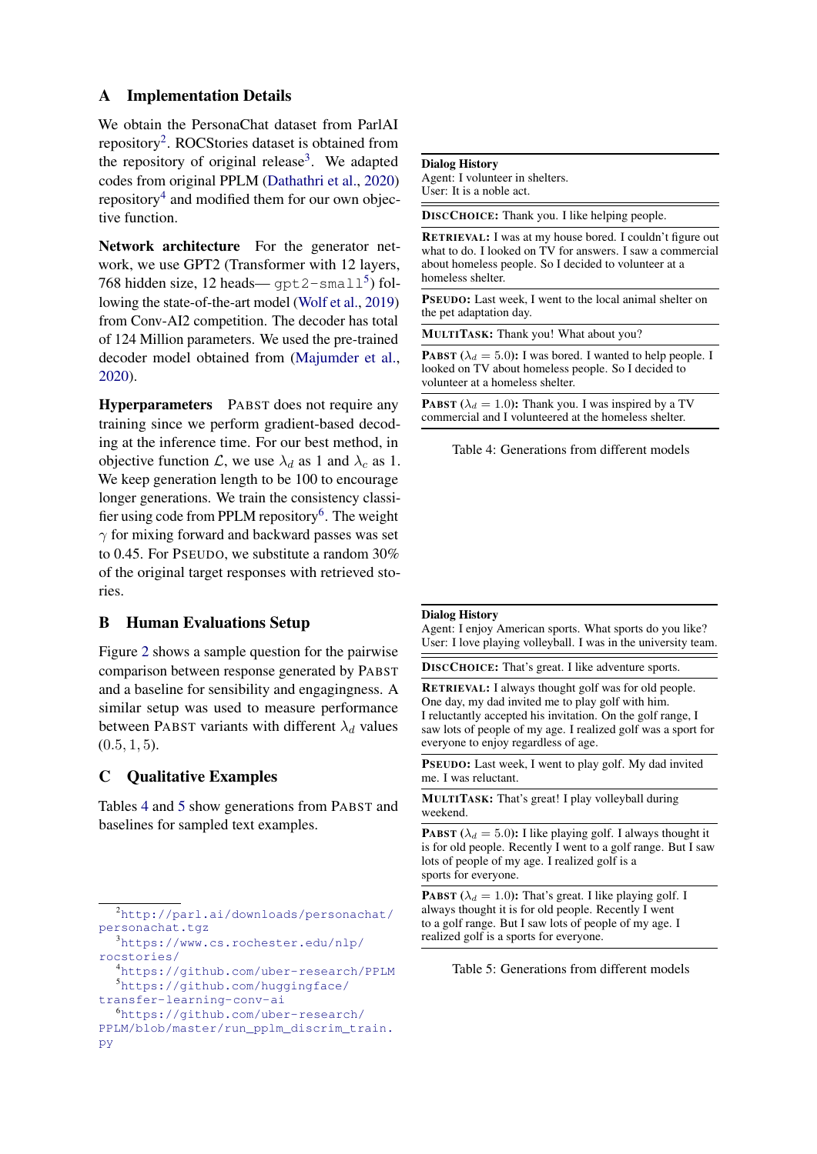## A Implementation Details

We obtain the PersonaChat dataset from ParlAI repository<sup>[2](#page-6-0)</sup>. ROCStories dataset is obtained from the repository of original release<sup>[3](#page-6-1)</sup>. We adapted codes from original PPLM [\(Dathathri et al.,](#page-5-8) [2020\)](#page-5-8) repository<sup>[4](#page-6-2)</sup> and modified them for our own objective function.

Network architecture For the generator network, we use GPT2 (Transformer with 12 layers, 768 hidden size, 12 heads—  $\text{gpt2-small}^5$  $\text{gpt2-small}^5$ ) following the state-of-the-art model [\(Wolf et al.,](#page-5-23) [2019\)](#page-5-23) from Conv-AI2 competition. The decoder has total of 124 Million parameters. We used the pre-trained decoder model obtained from [\(Majumder et al.,](#page-5-2) [2020\)](#page-5-2).

Hyperparameters PABST does not require any training since we perform gradient-based decoding at the inference time. For our best method, in objective function  $\mathcal{L}$ , we use  $\lambda_d$  as 1 and  $\lambda_c$  as 1. We keep generation length to be 100 to encourage longer generations. We train the consistency classi-fier using code from PPLM repository<sup>[6](#page-6-4)</sup>. The weight  $\gamma$  for mixing forward and backward passes was set to 0.45. For PSEUDO, we substitute a random 30% of the original target responses with retrieved stories.

## B Human Evaluations Setup

Figure [2](#page-7-0) shows a sample question for the pairwise comparison between response generated by PABST and a baseline for sensibility and engagingness. A similar setup was used to measure performance between PABST variants with different  $\lambda_d$  values  $(0.5, 1, 5).$ 

## C Qualitative Examples

Tables [4](#page-6-5) and [5](#page-6-6) show generations from PABST and baselines for sampled text examples.

#### <span id="page-6-5"></span>Dialog History

Agent: I volunteer in shelters. User: It is a noble act.

DISCCHOICE: Thank you. I like helping people.

RETRIEVAL: I was at my house bored. I couldn't figure out what to do. I looked on TV for answers. I saw a commercial about homeless people. So I decided to volunteer at a homeless shelter.

PSEUDO: Last week, I went to the local animal shelter on the pet adaptation day.

MULTITASK: Thank you! What about you?

**PABST** ( $\lambda_d = 5.0$ ): I was bored. I wanted to help people. I looked on TV about homeless people. So I decided to volunteer at a homeless shelter.

**PABST** ( $\lambda_d = 1.0$ ): Thank you. I was inspired by a TV commercial and I volunteered at the homeless shelter.

Table 4: Generations from different models

#### <span id="page-6-6"></span>Dialog History

Agent: I enjoy American sports. What sports do you like? User: I love playing volleyball. I was in the university team.

DISCCHOICE: That's great. I like adventure sports.

RETRIEVAL: I always thought golf was for old people. One day, my dad invited me to play golf with him. I reluctantly accepted his invitation. On the golf range, I saw lots of people of my age. I realized golf was a sport for everyone to enjoy regardless of age.

PSEUDO: Last week, I went to play golf. My dad invited me. I was reluctant.

MULTITASK: That's great! I play volleyball during weekend.

**PABST** ( $\lambda_d = 5.0$ ): I like playing golf. I always thought it is for old people. Recently I went to a golf range. But I saw lots of people of my age. I realized golf is a sports for everyone.

**PABST** ( $\lambda_d = 1.0$ ): That's great. I like playing golf. I always thought it is for old people. Recently I went to a golf range. But I saw lots of people of my age. I realized golf is a sports for everyone.

Table 5: Generations from different models

<span id="page-6-0"></span><sup>2</sup>[http://parl.ai/downloads/personachat/](http://parl.ai/downloads/personachat/personachat.tgz) [personachat.tgz](http://parl.ai/downloads/personachat/personachat.tgz)

<span id="page-6-1"></span><sup>3</sup>[https://www.cs.rochester.edu/nlp/](https://www.cs.rochester.edu/nlp/rocstories/) [rocstories/](https://www.cs.rochester.edu/nlp/rocstories/)

<span id="page-6-3"></span><span id="page-6-2"></span><sup>4</sup><https://github.com/uber-research/PPLM> <sup>5</sup>[https://github.com/huggingface/](https://github.com/huggingface/transfer-learning-conv-ai)

[transfer-learning-conv-ai](https://github.com/huggingface/transfer-learning-conv-ai)

<span id="page-6-4"></span><sup>6</sup>[https://github.com/uber-research/](https://github.com/uber-research/PPLM/blob/master/run_pplm_discrim_train.py) [PPLM/blob/master/run\\_pplm\\_discrim\\_train.](https://github.com/uber-research/PPLM/blob/master/run_pplm_discrim_train.py) [py](https://github.com/uber-research/PPLM/blob/master/run_pplm_discrim_train.py)